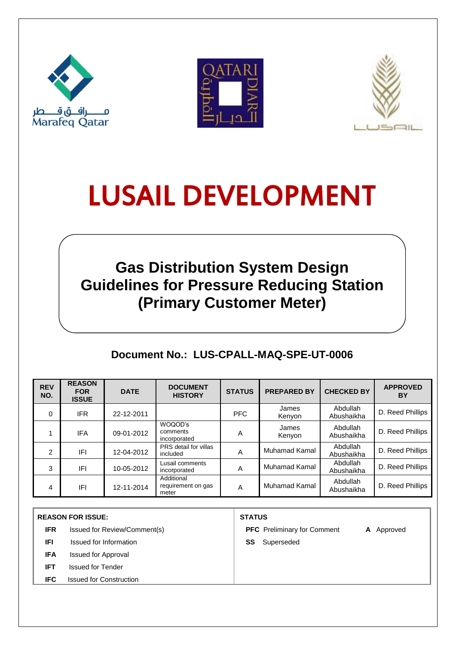





# LUSAIL DEVELOPMENT

**Gas Distribution System Design Guidelines for Pressure Reducing Station (Primary Customer Meter)**

## **Document No.: LUS-CPALL-MAQ-SPE-UT-0006**

| <b>REV</b><br>NO. | <b>REASON</b><br><b>FOR</b><br><b>ISSUE</b> | <b>DATE</b> | <b>DOCUMENT</b><br><b>HISTORY</b>         | <b>STATUS</b> | <b>PREPARED BY</b>   | <b>CHECKED BY</b>      | <b>APPROVED</b><br>BY |
|-------------------|---------------------------------------------|-------------|-------------------------------------------|---------------|----------------------|------------------------|-----------------------|
| 0                 | IFR.                                        | 22-12-2011  |                                           | <b>PFC</b>    | James<br>Kenyon      | Abdullah<br>Abushaikha | D. Reed Phillips      |
|                   | <b>IFA</b>                                  | 09-01-2012  | WOQOD's<br>comments<br>incorporated       | A             | James<br>Kenyon      | Abdullah<br>Abushaikha | D. Reed Phillips      |
| $\overline{2}$    | IFI                                         | 12-04-2012  | PRS detail for villas<br>included         | A             | <b>Muhamad Kamal</b> | Abdullah<br>Abushaikha | D. Reed Phillips      |
| 3                 | IFI                                         | 10-05-2012  | Lusail comments<br>incorporated           | A             | <b>Muhamad Kamal</b> | Abdullah<br>Abushaikha | D. Reed Phillips      |
| 4                 | IFI                                         | 12-11-2014  | Additional<br>requirement on gas<br>meter | Α             | Muhamad Kamal        | Abdullah<br>Abushaikha | D. Reed Phillips      |

| <b>REASON FOR ISSUE:</b> |                                | <b>STATUS</b>                                           |  |  |
|--------------------------|--------------------------------|---------------------------------------------------------|--|--|
| <b>IFR</b>               | Issued for Review/Comment(s)   | <b>PFC</b> Preliminary for Comment<br><b>A</b> Approved |  |  |
| IFI                      | Issued for Information         | Superseded<br>SS                                        |  |  |
| <b>IFA</b>               | <b>Issued for Approval</b>     |                                                         |  |  |
| <b>IFT</b>               | <b>Issued for Tender</b>       |                                                         |  |  |
| IFC                      | <b>Issued for Construction</b> |                                                         |  |  |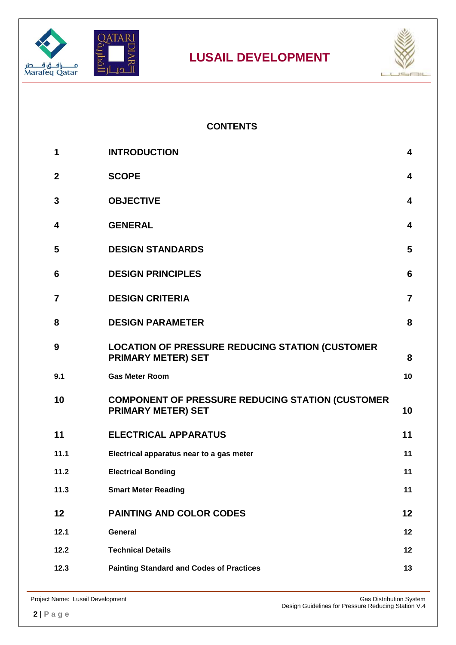





## **CONTENTS**

| 1            | <b>INTRODUCTION</b>                                                                   | $\overline{\mathbf{4}}$ |
|--------------|---------------------------------------------------------------------------------------|-------------------------|
| $\mathbf{2}$ | <b>SCOPE</b>                                                                          | $\overline{\mathbf{4}}$ |
| 3            | <b>OBJECTIVE</b>                                                                      | 4                       |
| 4            | <b>GENERAL</b>                                                                        | $\overline{\mathbf{4}}$ |
| 5            | <b>DESIGN STANDARDS</b>                                                               | 5                       |
| 6            | <b>DESIGN PRINCIPLES</b>                                                              | 6                       |
| 7            | <b>DESIGN CRITERIA</b>                                                                | $\overline{7}$          |
| 8            | <b>DESIGN PARAMETER</b>                                                               | 8                       |
| 9            | <b>LOCATION OF PRESSURE REDUCING STATION (CUSTOMER)</b><br><b>PRIMARY METER) SET</b>  | 8                       |
| 9.1          | <b>Gas Meter Room</b>                                                                 | 10                      |
| 10           | <b>COMPONENT OF PRESSURE REDUCING STATION (CUSTOMER)</b><br><b>PRIMARY METER) SET</b> | 10                      |
| 11           | <b>ELECTRICAL APPARATUS</b>                                                           | 11                      |
| 11.1         | Electrical apparatus near to a gas meter                                              | 11                      |
| 11.2         | <b>Electrical Bonding</b>                                                             | 11                      |
| 11.3         | <b>Smart Meter Reading</b>                                                            | 11                      |
| 12           | <b>PAINTING AND COLOR CODES</b>                                                       | 12                      |
| 12.1         | General                                                                               | 12                      |
| 12.2         | <b>Technical Details</b>                                                              | 12                      |
| 12.3         | <b>Painting Standard and Codes of Practices</b>                                       | 13                      |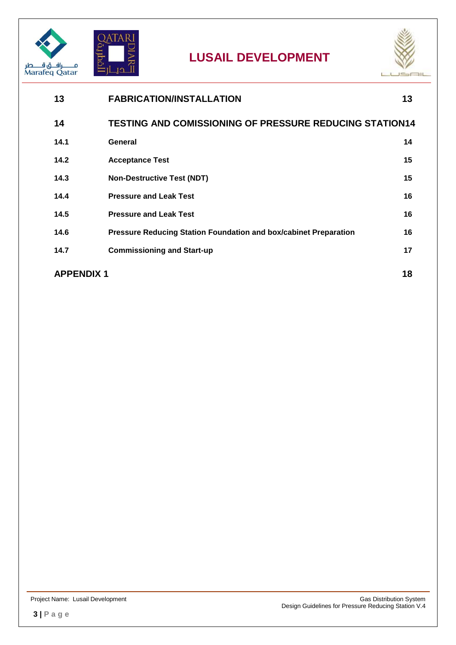



| 13                | <b>FABRICATION/INSTALLATION</b>                                         | 13 |
|-------------------|-------------------------------------------------------------------------|----|
| 14                | <b>TESTING AND COMISSIONING OF PRESSURE REDUCING STATION14</b>          |    |
| 14.1              | General                                                                 | 14 |
| 14.2              | <b>Acceptance Test</b>                                                  | 15 |
| 14.3              | <b>Non-Destructive Test (NDT)</b>                                       | 15 |
| 14.4              | <b>Pressure and Leak Test</b>                                           | 16 |
| 14.5              | <b>Pressure and Leak Test</b>                                           | 16 |
| 14.6              | <b>Pressure Reducing Station Foundation and box/cabinet Preparation</b> | 16 |
| 14.7              | <b>Commissioning and Start-up</b>                                       | 17 |
| <b>APPENDIX 1</b> |                                                                         | 18 |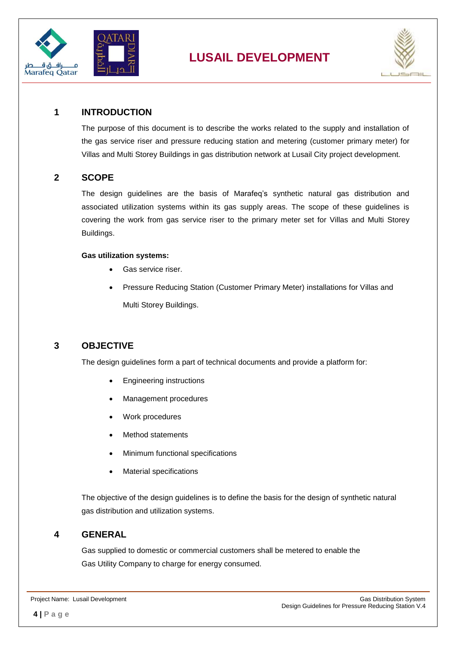



#### <span id="page-3-0"></span>**1 INTRODUCTION**

The purpose of this document is to describe the works related to the supply and installation of the gas service riser and pressure reducing station and metering (customer primary meter) for Villas and Multi Storey Buildings in gas distribution network at Lusail City project development.

#### <span id="page-3-1"></span>**2 SCOPE**

The design guidelines are the basis of Marafeq's synthetic natural gas distribution and associated utilization systems within its gas supply areas. The scope of these guidelines is covering the work from gas service riser to the primary meter set for Villas and Multi Storey Buildings.

#### **Gas utilization systems:**

- Gas service riser.
- Pressure Reducing Station (Customer Primary Meter) installations for Villas and Multi Storey Buildings.

#### <span id="page-3-2"></span>**3 OBJECTIVE**

The design guidelines form a part of technical documents and provide a platform for:

- Engineering instructions
- Management procedures
- Work procedures
- Method statements
- Minimum functional specifications
- Material specifications

The objective of the design guidelines is to define the basis for the design of synthetic natural gas distribution and utilization systems.

#### <span id="page-3-3"></span>**4 GENERAL**

Gas supplied to domestic or commercial customers shall be metered to enable the Gas Utility Company to charge for energy consumed.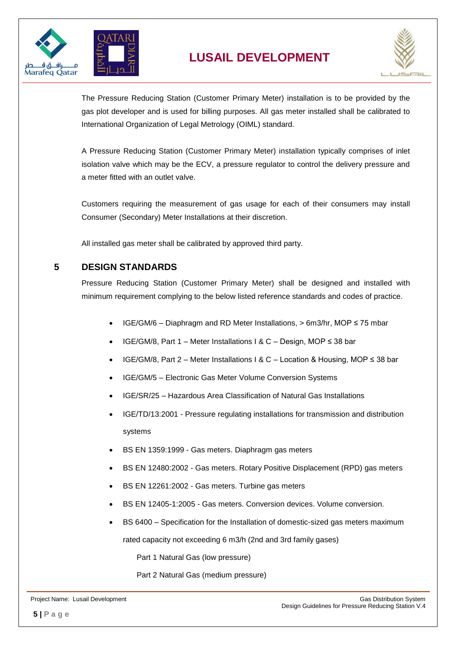



The Pressure Reducing Station (Customer Primary Meter) installation is to be provided by the gas plot developer and is used for billing purposes. All gas meter installed shall be calibrated to International Organization of Legal Metrology (OIML) standard.

A Pressure Reducing Station (Customer Primary Meter) installation typically comprises of inlet isolation valve which may be the ECV, a pressure regulator to control the delivery pressure and a meter fitted with an outlet valve.

Customers requiring the measurement of gas usage for each of their consumers may install Consumer (Secondary) Meter Installations at their discretion.

All installed gas meter shall be calibrated by approved third party.

## <span id="page-4-0"></span>**5 DESIGN STANDARDS**

Pressure Reducing Station (Customer Primary Meter) shall be designed and installed with minimum requirement complying to the below listed reference standards and codes of practice.

- IGE/GM/6 Diaphragm and RD Meter Installations, > 6m3/hr, MOP ≤ 75 mbar
- IGE/GM/8, Part 1 Meter Installations I & C Design, MOP ≤ 38 bar
- IGE/GM/8, Part 2 Meter Installations I & C Location & Housing, MOP ≤ 38 bar
- IGE/GM/5 Electronic Gas Meter Volume Conversion Systems
- IGE/SR/25 Hazardous Area Classification of Natural Gas Installations
- IGE/TD/13:2001 Pressure regulating installations for transmission and distribution systems
- BS EN 1359:1999 Gas meters. Diaphragm gas meters
- BS EN 12480:2002 Gas meters. Rotary Positive Displacement (RPD) gas meters
- BS EN 12261:2002 Gas meters. Turbine gas meters
- BS EN 12405-1:2005 Gas meters. Conversion devices. Volume conversion.
- BS 6400 Specification for the Installation of domestic-sized gas meters maximum

rated capacity not exceeding 6 m3/h (2nd and 3rd family gases)

Part 1 Natural Gas (low pressure)

Part 2 Natural Gas (medium pressure)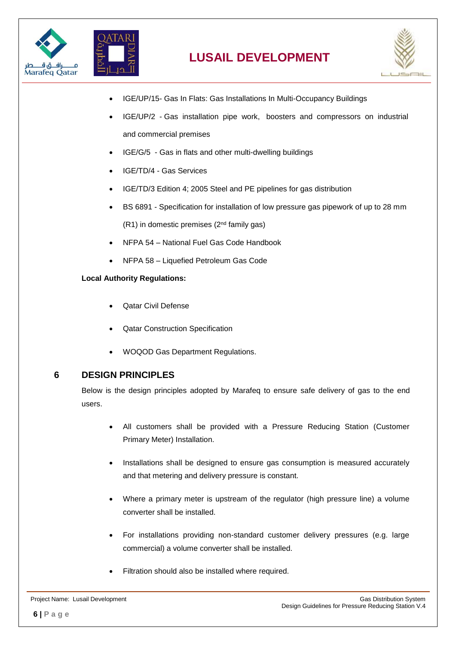



- IGE/UP/15- Gas In Flats: Gas Installations In Multi-Occupancy Buildings
- IGE/UP/2 Gas installation pipe work, boosters and compressors on industrial and commercial premises
- IGE/G/5 Gas in flats and other multi-dwelling buildings
- IGE/TD/4 Gas Services
- IGE/TD/3 Edition 4; 2005 Steel and PE pipelines for gas distribution
- BS 6891 Specification for installation of low pressure gas pipework of up to 28 mm  $(R1)$  in domestic premises  $(2<sup>nd</sup>$  family gas)
- NFPA 54 National Fuel Gas Code Handbook
- NFPA 58 Liquefied Petroleum Gas Code

#### **Local Authority Regulations:**

- Qatar Civil Defense
- Qatar Construction Specification
- WOQOD Gas Department Regulations.

#### <span id="page-5-0"></span>**6 DESIGN PRINCIPLES**

Below is the design principles adopted by Marafeq to ensure safe delivery of gas to the end users.

- All customers shall be provided with a Pressure Reducing Station (Customer Primary Meter) Installation.
- Installations shall be designed to ensure gas consumption is measured accurately and that metering and delivery pressure is constant.
- Where a primary meter is upstream of the regulator (high pressure line) a volume converter shall be installed.
- For installations providing non-standard customer delivery pressures (e.g. large commercial) a volume converter shall be installed.
- Filtration should also be installed where required.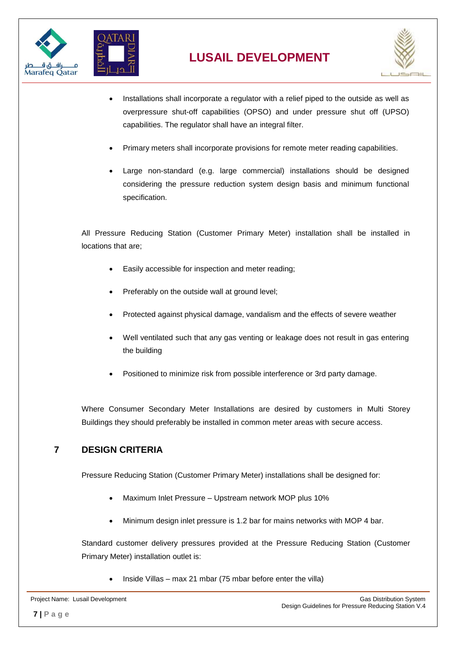



- Installations shall incorporate a regulator with a relief piped to the outside as well as overpressure shut-off capabilities (OPSO) and under pressure shut off (UPSO) capabilities. The regulator shall have an integral filter.
- Primary meters shall incorporate provisions for remote meter reading capabilities.
- Large non-standard (e.g. large commercial) installations should be designed considering the pressure reduction system design basis and minimum functional specification.

All Pressure Reducing Station (Customer Primary Meter) installation shall be installed in locations that are;

- Easily accessible for inspection and meter reading;
- Preferably on the outside wall at ground level;
- Protected against physical damage, vandalism and the effects of severe weather
- Well ventilated such that any gas venting or leakage does not result in gas entering the building
- Positioned to minimize risk from possible interference or 3rd party damage.

Where Consumer Secondary Meter Installations are desired by customers in Multi Storey Buildings they should preferably be installed in common meter areas with secure access.

## <span id="page-6-0"></span>**7 DESIGN CRITERIA**

Pressure Reducing Station (Customer Primary Meter) installations shall be designed for:

- Maximum Inlet Pressure Upstream network MOP plus 10%
- Minimum design inlet pressure is 1.2 bar for mains networks with MOP 4 bar.

Standard customer delivery pressures provided at the Pressure Reducing Station (Customer Primary Meter) installation outlet is:

Inside Villas – max 21 mbar (75 mbar before enter the villa)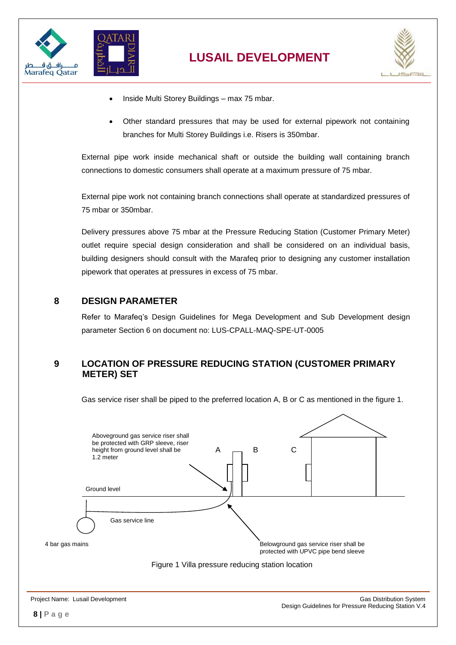



- Inside Multi Storey Buildings max 75 mbar.
- Other standard pressures that may be used for external pipework not containing branches for Multi Storey Buildings i.e. Risers is 350mbar.

External pipe work inside mechanical shaft or outside the building wall containing branch connections to domestic consumers shall operate at a maximum pressure of 75 mbar.

External pipe work not containing branch connections shall operate at standardized pressures of 75 mbar or 350mbar.

Delivery pressures above 75 mbar at the Pressure Reducing Station (Customer Primary Meter) outlet require special design consideration and shall be considered on an individual basis, building designers should consult with the Marafeq prior to designing any customer installation pipework that operates at pressures in excess of 75 mbar.

#### <span id="page-7-0"></span>**8 DESIGN PARAMETER**

Refer to Marafeq's Design Guidelines for Mega Development and Sub Development design parameter Section 6 on document no: LUS-CPALL-MAQ-SPE-UT-0005

## <span id="page-7-1"></span>**9 LOCATION OF PRESSURE REDUCING STATION (CUSTOMER PRIMARY METER) SET**

Gas service riser shall be piped to the preferred location A, B or C as mentioned in the figure 1.

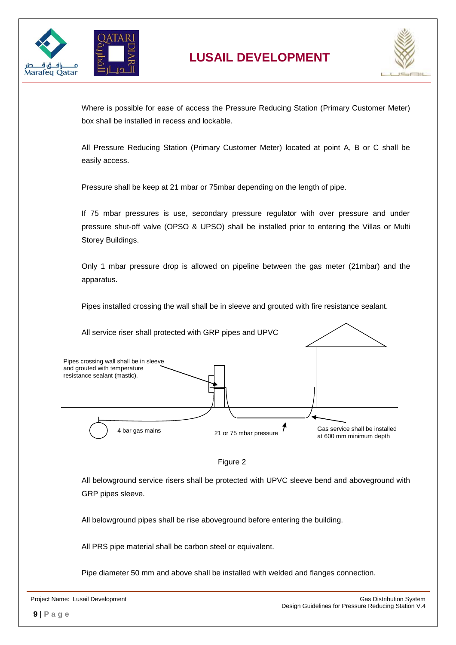



Where is possible for ease of access the Pressure Reducing Station (Primary Customer Meter) box shall be installed in recess and lockable.

All Pressure Reducing Station (Primary Customer Meter) located at point A, B or C shall be easily access.

Pressure shall be keep at 21 mbar or 75mbar depending on the length of pipe.

If 75 mbar pressures is use, secondary pressure regulator with over pressure and under pressure shut-off valve (OPSO & UPSO) shall be installed prior to entering the Villas or Multi Storey Buildings.

Only 1 mbar pressure drop is allowed on pipeline between the gas meter (21mbar) and the apparatus.

Pipes installed crossing the wall shall be in sleeve and grouted with fire resistance sealant.





All belowground service risers shall be protected with UPVC sleeve bend and aboveground with GRP pipes sleeve.

All belowground pipes shall be rise aboveground before entering the building.

All PRS pipe material shall be carbon steel or equivalent.

Pipe diameter 50 mm and above shall be installed with welded and flanges connection.

|  | Project Name: Lusail Development |
|--|----------------------------------|
|--|----------------------------------|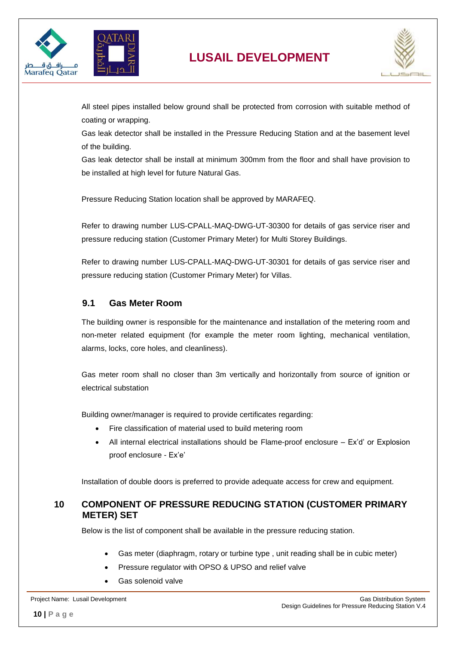



All steel pipes installed below ground shall be protected from corrosion with suitable method of coating or wrapping.

Gas leak detector shall be installed in the Pressure Reducing Station and at the basement level of the building.

Gas leak detector shall be install at minimum 300mm from the floor and shall have provision to be installed at high level for future Natural Gas.

Pressure Reducing Station location shall be approved by MARAFEQ.

Refer to drawing number LUS-CPALL-MAQ-DWG-UT-30300 for details of gas service riser and pressure reducing station (Customer Primary Meter) for Multi Storey Buildings.

Refer to drawing number LUS-CPALL-MAQ-DWG-UT-30301 for details of gas service riser and pressure reducing station (Customer Primary Meter) for Villas.

## <span id="page-9-0"></span>**9.1 Gas Meter Room**

The building owner is responsible for the maintenance and installation of the metering room and non-meter related equipment (for example the meter room lighting, mechanical ventilation, alarms, locks, core holes, and cleanliness).

Gas meter room shall no closer than 3m vertically and horizontally from source of ignition or electrical substation

Building owner/manager is required to provide certificates regarding:

- Fire classification of material used to build metering room
- All internal electrical installations should be Flame-proof enclosure Ex'd' or Explosion proof enclosure - Ex'e'

Installation of double doors is preferred to provide adequate access for crew and equipment.

## <span id="page-9-1"></span>**10 COMPONENT OF PRESSURE REDUCING STATION (CUSTOMER PRIMARY METER) SET**

Below is the list of component shall be available in the pressure reducing station.

- Gas meter (diaphragm, rotary or turbine type , unit reading shall be in cubic meter)
- Pressure regulator with OPSO & UPSO and relief valve
- Gas solenoid valve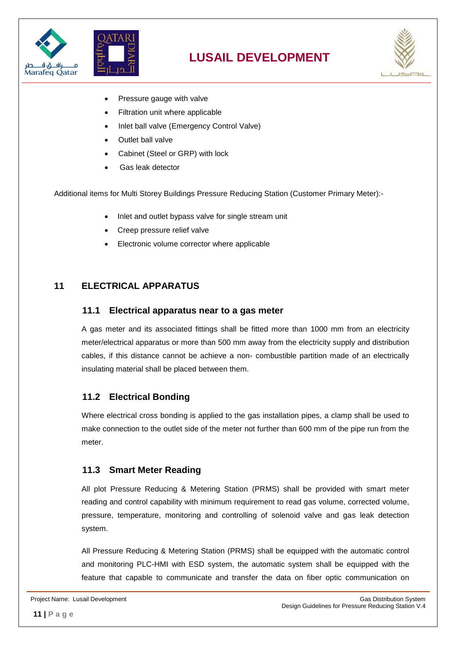



- Pressure gauge with valve
- Filtration unit where applicable
- Inlet ball valve (Emergency Control Valve)
- Outlet ball valve
- Cabinet (Steel or GRP) with lock
- Gas leak detector

Additional items for Multi Storey Buildings Pressure Reducing Station (Customer Primary Meter):-

- Inlet and outlet bypass valve for single stream unit
- Creep pressure relief valve
- **Electronic volume corrector where applicable**

#### <span id="page-10-1"></span><span id="page-10-0"></span>**11 ELECTRICAL APPARATUS**

#### **11.1 Electrical apparatus near to a gas meter**

A gas meter and its associated fittings shall be fitted more than 1000 mm from an electricity meter/electrical apparatus or more than 500 mm away from the electricity supply and distribution cables, if this distance cannot be achieve a non- combustible partition made of an electrically insulating material shall be placed between them.

#### <span id="page-10-2"></span>**11.2 Electrical Bonding**

Where electrical cross bonding is applied to the gas installation pipes, a clamp shall be used to make connection to the outlet side of the meter not further than 600 mm of the pipe run from the meter.

#### <span id="page-10-3"></span>**11.3 Smart Meter Reading**

All plot Pressure Reducing & Metering Station (PRMS) shall be provided with smart meter reading and control capability with minimum requirement to read gas volume, corrected volume, pressure, temperature, monitoring and controlling of solenoid valve and gas leak detection system.

All Pressure Reducing & Metering Station (PRMS) shall be equipped with the automatic control and monitoring PLC-HMI with ESD system, the automatic system shall be equipped with the feature that capable to communicate and transfer the data on fiber optic communication on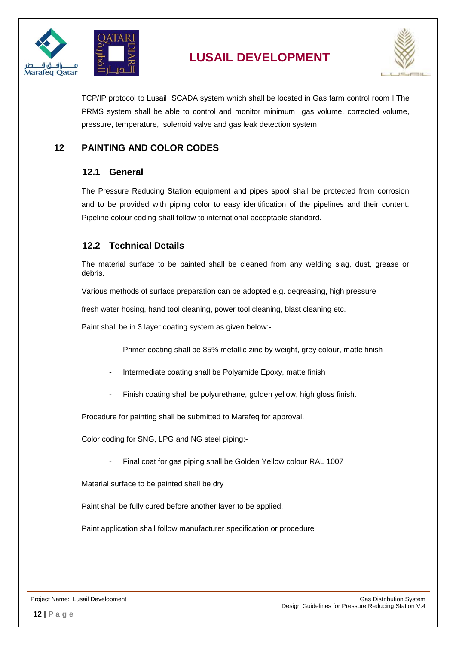



TCP/IP protocol to Lusail SCADA system which shall be located in Gas farm control room l The PRMS system shall be able to control and monitor minimum gas volume, corrected volume, pressure, temperature, solenoid valve and gas leak detection system

## <span id="page-11-1"></span><span id="page-11-0"></span>**12 PAINTING AND COLOR CODES**

#### **12.1 General**

The Pressure Reducing Station equipment and pipes spool shall be protected from corrosion and to be provided with piping color to easy identification of the pipelines and their content. Pipeline colour coding shall follow to international acceptable standard.

## <span id="page-11-2"></span>**12.2 Technical Details**

The material surface to be painted shall be cleaned from any welding slag, dust, grease or debris.

Various methods of surface preparation can be adopted e.g. degreasing, high pressure

fresh water hosing, hand tool cleaning, power tool cleaning, blast cleaning etc.

Paint shall be in 3 layer coating system as given below:-

- Primer coating shall be 85% metallic zinc by weight, grey colour, matte finish
- Intermediate coating shall be Polyamide Epoxy, matte finish
- Finish coating shall be polyurethane, golden yellow, high gloss finish.

Procedure for painting shall be submitted to Marafeq for approval.

Color coding for SNG, LPG and NG steel piping:-

Final coat for gas piping shall be Golden Yellow colour RAL 1007

Material surface to be painted shall be dry

Paint shall be fully cured before another layer to be applied.

Paint application shall follow manufacturer specification or procedure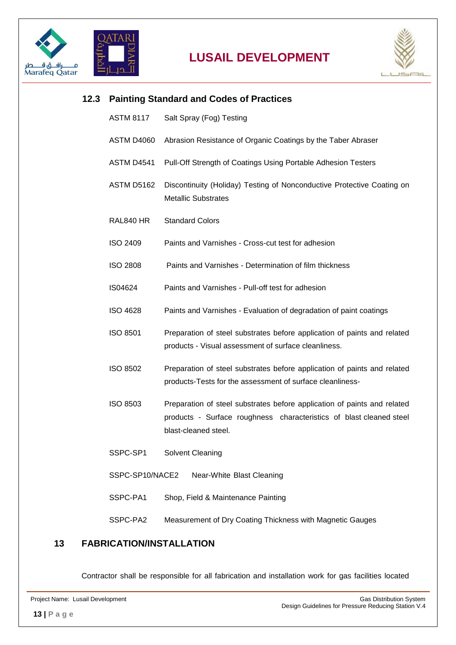



## <span id="page-12-0"></span>**12.3 Painting Standard and Codes of Practices**

| <b>ASTM 8117</b><br>Salt Spray (Fog) Testing |                                                                                                                                                                         |
|----------------------------------------------|-------------------------------------------------------------------------------------------------------------------------------------------------------------------------|
| ASTM D4060                                   | Abrasion Resistance of Organic Coatings by the Taber Abraser                                                                                                            |
| ASTM D4541                                   | Pull-Off Strength of Coatings Using Portable Adhesion Testers                                                                                                           |
| <b>ASTM D5162</b>                            | Discontinuity (Holiday) Testing of Nonconductive Protective Coating on<br><b>Metallic Substrates</b>                                                                    |
| RAL840 HR                                    | <b>Standard Colors</b>                                                                                                                                                  |
| <b>ISO 2409</b>                              | Paints and Varnishes - Cross-cut test for adhesion                                                                                                                      |
| <b>ISO 2808</b>                              | Paints and Varnishes - Determination of film thickness                                                                                                                  |
| IS04624                                      | Paints and Varnishes - Pull-off test for adhesion                                                                                                                       |
| <b>ISO 4628</b>                              | Paints and Varnishes - Evaluation of degradation of paint coatings                                                                                                      |
| <b>ISO 8501</b>                              | Preparation of steel substrates before application of paints and related<br>products - Visual assessment of surface cleanliness.                                        |
| <b>ISO 8502</b>                              | Preparation of steel substrates before application of paints and related<br>products-Tests for the assessment of surface cleanliness-                                   |
| ISO 8503                                     | Preparation of steel substrates before application of paints and related<br>products - Surface roughness characteristics of blast cleaned steel<br>blast-cleaned steel. |
| SSPC-SP1                                     | Solvent Cleaning                                                                                                                                                        |
| SSPC-SP10/NACE2<br>Near-White Blast Cleaning |                                                                                                                                                                         |
| SSPC-PA1                                     | Shop, Field & Maintenance Painting                                                                                                                                      |
| SSPC-PA2                                     | Measurement of Dry Coating Thickness with Magnetic Gauges                                                                                                               |

## <span id="page-12-1"></span>**13 FABRICATION/INSTALLATION**

Contractor shall be responsible for all fabrication and installation work for gas facilities located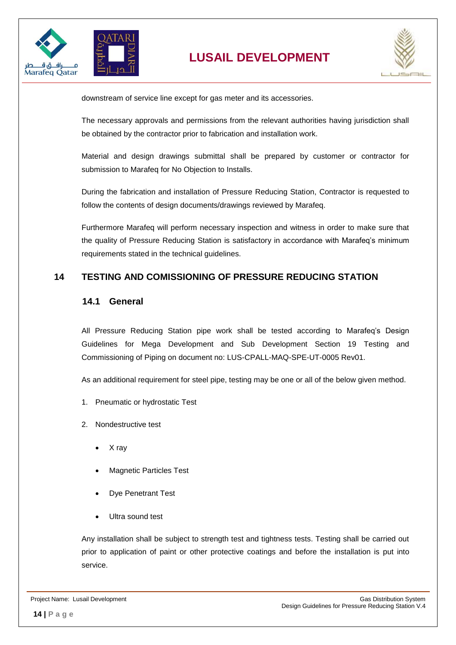



downstream of service line except for gas meter and its accessories.

The necessary approvals and permissions from the relevant authorities having jurisdiction shall be obtained by the contractor prior to fabrication and installation work.

Material and design drawings submittal shall be prepared by customer or contractor for submission to Marafeq for No Objection to Installs.

During the fabrication and installation of Pressure Reducing Station, Contractor is requested to follow the contents of design documents/drawings reviewed by Marafeq.

Furthermore Marafeq will perform necessary inspection and witness in order to make sure that the quality of Pressure Reducing Station is satisfactory in accordance with Marafeq's minimum requirements stated in the technical guidelines.

## <span id="page-13-1"></span><span id="page-13-0"></span>**14 TESTING AND COMISSIONING OF PRESSURE REDUCING STATION**

#### **14.1 General**

All Pressure Reducing Station pipe work shall be tested according to Marafeq's Design Guidelines for Mega Development and Sub Development Section 19 Testing and Commissioning of Piping on document no: LUS-CPALL-MAQ-SPE-UT-0005 Rev01.

As an additional requirement for steel pipe, testing may be one or all of the below given method.

- 1. Pneumatic or hydrostatic Test
- 2. Nondestructive test
	- X ray
	- Magnetic Particles Test
	- Dye Penetrant Test
	- Ultra sound test

Any installation shall be subject to strength test and tightness tests. Testing shall be carried out prior to application of paint or other protective coatings and before the installation is put into service.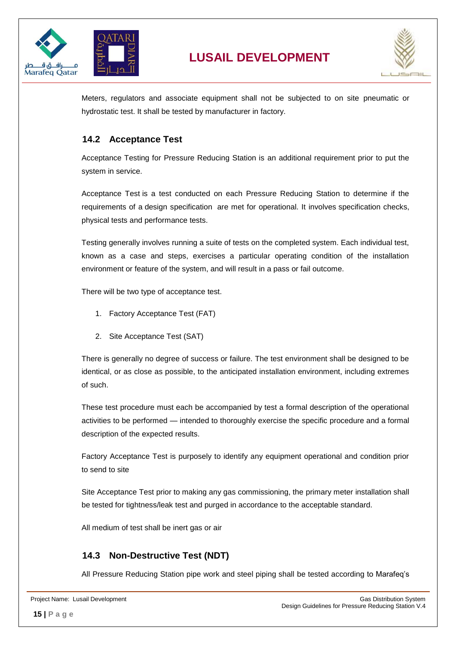



Meters, regulators and associate equipment shall not be subjected to on site pneumatic or hydrostatic test. It shall be tested by manufacturer in factory.

## <span id="page-14-0"></span>**14.2 Acceptance Test**

Acceptance Testing for Pressure Reducing Station is an additional requirement prior to put the system in service.

Acceptance Test is a test conducted on each Pressure Reducing Station to determine if the requirements of a design [specification](http://en.wikipedia.org/wiki/Specification) are met for operational. It involves specification checks, [physical tests](http://en.wikipedia.org/wiki/Physical_test) and [performance tests.](http://en.wikipedia.org/wiki/Performance_test_(assessment))

Testing generally involves running a suite of tests on the completed system. Each individual test, known as a case and steps, exercises a particular operating condition of the installation environment or feature of the system, and will result in a pass or fail outcome.

There will be two type of acceptance test.

- 1. Factory Acceptance Test (FAT)
- 2. Site Acceptance Test (SAT)

There is generally no degree of success or failure. The test environment shall be designed to be identical, or as close as possible, to the anticipated installation environment, including extremes of such.

These test procedure must each be accompanied by test a formal description of the operational activities to be performed — intended to thoroughly exercise the specific procedure and a formal description of the expected results.

Factory Acceptance Test is purposely to identify any equipment operational and condition prior to send to site

Site Acceptance Test prior to making any gas commissioning, the primary meter installation shall be tested for tightness/leak test and purged in accordance to the acceptable standard.

All medium of test shall be inert gas or air

## <span id="page-14-1"></span>**14.3 Non-Destructive Test (NDT)**

All Pressure Reducing Station pipe work and steel piping shall be tested according to Marafeq's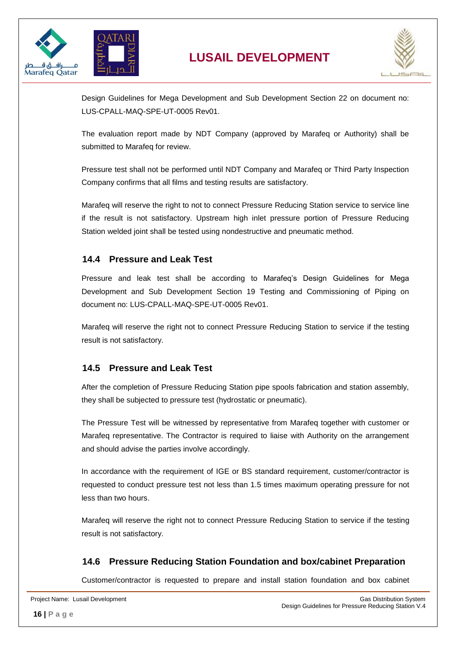



Design Guidelines for Mega Development and Sub Development Section 22 on document no: LUS-CPALL-MAQ-SPE-UT-0005 Rev01.

The evaluation report made by NDT Company (approved by Marafeq or Authority) shall be submitted to Marafeq for review.

Pressure test shall not be performed until NDT Company and Marafeq or Third Party Inspection Company confirms that all films and testing results are satisfactory.

Marafeq will reserve the right to not to connect Pressure Reducing Station service to service line if the result is not satisfactory. Upstream high inlet pressure portion of Pressure Reducing Station welded joint shall be tested using nondestructive and pneumatic method.

## <span id="page-15-0"></span>**14.4 Pressure and Leak Test**

Pressure and leak test shall be according to Marafeq's Design Guidelines for Mega Development and Sub Development Section 19 Testing and Commissioning of Piping on document no: LUS-CPALL-MAQ-SPE-UT-0005 Rev01.

Marafeq will reserve the right not to connect Pressure Reducing Station to service if the testing result is not satisfactory.

## <span id="page-15-1"></span>**14.5 Pressure and Leak Test**

After the completion of Pressure Reducing Station pipe spools fabrication and station assembly, they shall be subjected to pressure test (hydrostatic or pneumatic).

The Pressure Test will be witnessed by representative from Marafeq together with customer or Marafeq representative. The Contractor is required to liaise with Authority on the arrangement and should advise the parties involve accordingly.

In accordance with the requirement of IGE or BS standard requirement, customer/contractor is requested to conduct pressure test not less than 1.5 times maximum operating pressure for not less than two hours.

Marafeq will reserve the right not to connect Pressure Reducing Station to service if the testing result is not satisfactory.

## <span id="page-15-2"></span>**14.6 Pressure Reducing Station Foundation and box/cabinet Preparation**

Customer/contractor is requested to prepare and install station foundation and box cabinet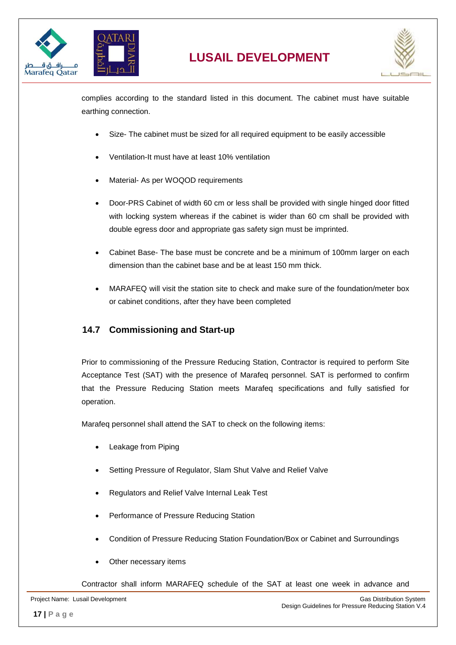



complies according to the standard listed in this document. The cabinet must have suitable earthing connection.

- Size- The cabinet must be sized for all required equipment to be easily accessible
- Ventilation-It must have at least 10% ventilation
- Material- As per WOQOD requirements
- Door-PRS Cabinet of width 60 cm or less shall be provided with single hinged door fitted with locking system whereas if the cabinet is wider than 60 cm shall be provided with double egress door and appropriate gas safety sign must be imprinted.
- Cabinet Base- The base must be concrete and be a minimum of 100mm larger on each dimension than the cabinet base and be at least 150 mm thick.
- MARAFEQ will visit the station site to check and make sure of the foundation/meter box or cabinet conditions, after they have been completed

## <span id="page-16-0"></span>**14.7 Commissioning and Start-up**

Prior to commissioning of the Pressure Reducing Station, Contractor is required to perform Site Acceptance Test (SAT) with the presence of Marafeq personnel. SAT is performed to confirm that the Pressure Reducing Station meets Marafeq specifications and fully satisfied for operation.

Marafeq personnel shall attend the SAT to check on the following items:

- Leakage from Piping
- Setting Pressure of Regulator, Slam Shut Valve and Relief Valve
- Regulators and Relief Valve Internal Leak Test
- Performance of Pressure Reducing Station
- Condition of Pressure Reducing Station Foundation/Box or Cabinet and Surroundings
- Other necessary items

Contractor shall inform MARAFEQ schedule of the SAT at least one week in advance and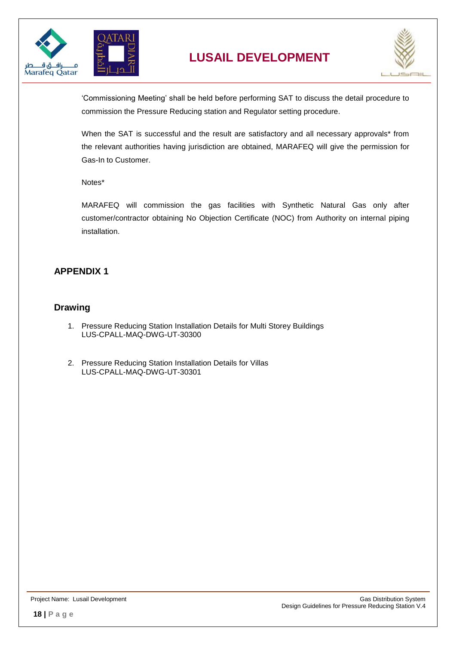



'Commissioning Meeting' shall be held before performing SAT to discuss the detail procedure to commission the Pressure Reducing station and Regulator setting procedure.

When the SAT is successful and the result are satisfactory and all necessary approvals\* from the relevant authorities having jurisdiction are obtained, MARAFEQ will give the permission for Gas-In to Customer.

Notes\*

MARAFEQ will commission the gas facilities with Synthetic Natural Gas only after customer/contractor obtaining No Objection Certificate (NOC) from Authority on internal piping installation.

## <span id="page-17-0"></span>**APPENDIX 1**

#### **Drawing**

- 1. Pressure Reducing Station Installation Details for Multi Storey Buildings LUS-CPALL-MAQ-DWG-UT-30300
- 2. Pressure Reducing Station Installation Details for Villas LUS-CPALL-MAQ-DWG-UT-30301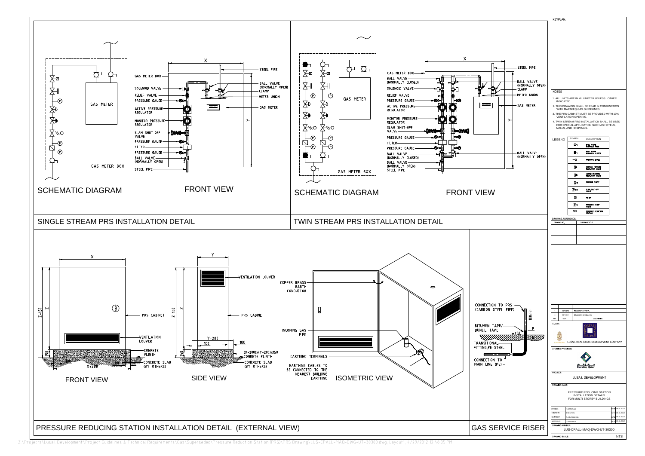

Z:\Projects\Lusail Development\Project Guidelines & Technical Requirements\Gas\Superseded\Pressure Reduction Station (PRS)\PRS Drawing\LUS-CPALL-MAQ-DWG-UT-30300.dwg, Layout1, 4/29/2012 12:48:05 PM